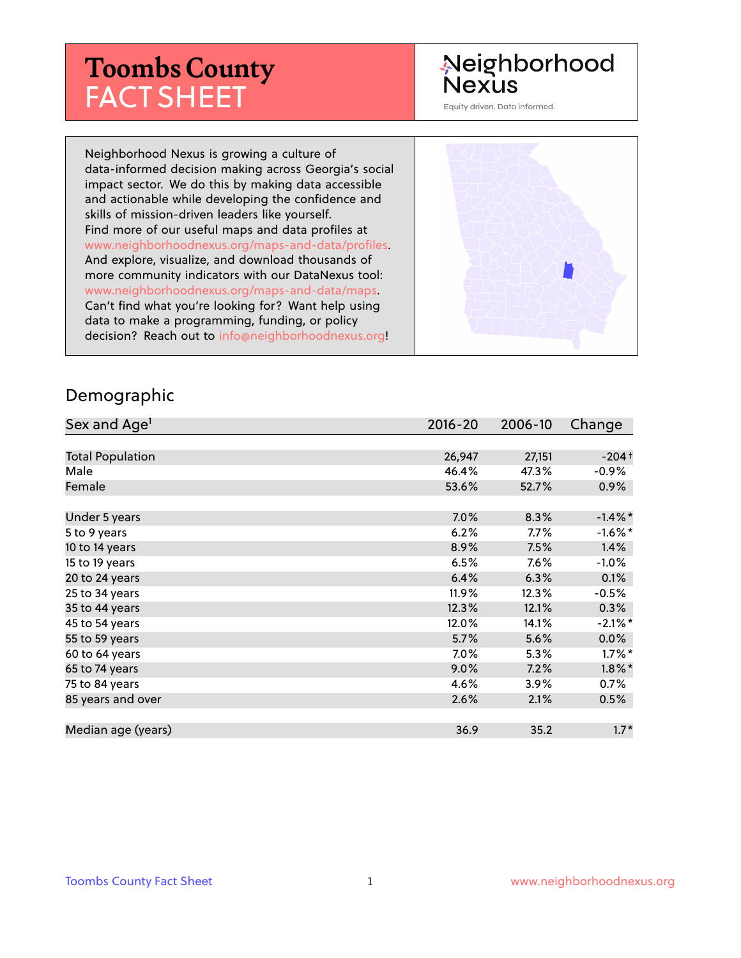# **Toombs County** FACT SHEET

# Neighborhood **Nexus**

Equity driven. Data informed.

Neighborhood Nexus is growing a culture of data-informed decision making across Georgia's social impact sector. We do this by making data accessible and actionable while developing the confidence and skills of mission-driven leaders like yourself. Find more of our useful maps and data profiles at www.neighborhoodnexus.org/maps-and-data/profiles. And explore, visualize, and download thousands of more community indicators with our DataNexus tool: www.neighborhoodnexus.org/maps-and-data/maps. Can't find what you're looking for? Want help using data to make a programming, funding, or policy decision? Reach out to [info@neighborhoodnexus.org!](mailto:info@neighborhoodnexus.org)



#### Demographic

| Sex and Age <sup>1</sup> | $2016 - 20$ | 2006-10 | Change     |
|--------------------------|-------------|---------|------------|
|                          |             |         |            |
| <b>Total Population</b>  | 26,947      | 27,151  | $-204+$    |
| Male                     | 46.4%       | 47.3%   | $-0.9\%$   |
| Female                   | 53.6%       | 52.7%   | $0.9\%$    |
|                          |             |         |            |
| Under 5 years            | 7.0%        | 8.3%    | $-1.4\%$ * |
| 5 to 9 years             | 6.2%        | $7.7\%$ | $-1.6\%$ * |
| 10 to 14 years           | 8.9%        | 7.5%    | 1.4%       |
| 15 to 19 years           | 6.5%        | 7.6%    | $-1.0%$    |
| 20 to 24 years           | 6.4%        | 6.3%    | 0.1%       |
| 25 to 34 years           | 11.9%       | 12.3%   | $-0.5%$    |
| 35 to 44 years           | 12.3%       | 12.1%   | 0.3%       |
| 45 to 54 years           | 12.0%       | 14.1%   | $-2.1\%$ * |
| 55 to 59 years           | 5.7%        | 5.6%    | 0.0%       |
| 60 to 64 years           | 7.0%        | 5.3%    | $1.7\%$ *  |
| 65 to 74 years           | $9.0\%$     | 7.2%    | $1.8\%$ *  |
| 75 to 84 years           | 4.6%        | 3.9%    | $0.7\%$    |
| 85 years and over        | 2.6%        | 2.1%    | 0.5%       |
|                          |             |         |            |
| Median age (years)       | 36.9        | 35.2    | $1.7*$     |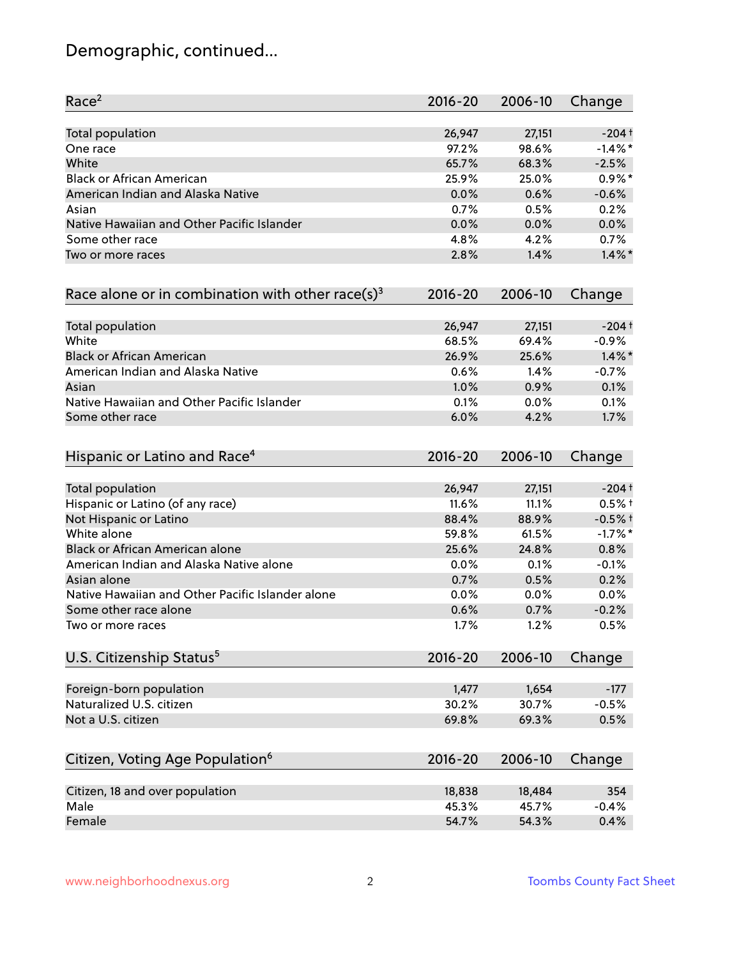# Demographic, continued...

| Race <sup>2</sup>                                            | $2016 - 20$ | 2006-10 | Change     |
|--------------------------------------------------------------|-------------|---------|------------|
| <b>Total population</b>                                      | 26,947      | 27,151  | $-204+$    |
| One race                                                     | 97.2%       | 98.6%   | $-1.4\%$ * |
| White                                                        | 65.7%       | 68.3%   | $-2.5%$    |
| <b>Black or African American</b>                             | 25.9%       | 25.0%   | $0.9\%$ *  |
| American Indian and Alaska Native                            | 0.0%        | 0.6%    | $-0.6%$    |
| Asian                                                        | 0.7%        | 0.5%    | 0.2%       |
| Native Hawaiian and Other Pacific Islander                   | 0.0%        | 0.0%    | 0.0%       |
| Some other race                                              | 4.8%        | 4.2%    | 0.7%       |
| Two or more races                                            | 2.8%        | 1.4%    | $1.4\%$ *  |
| Race alone or in combination with other race(s) <sup>3</sup> | $2016 - 20$ | 2006-10 | Change     |
| Total population                                             | 26,947      | 27,151  | $-204+$    |
| White                                                        | 68.5%       | 69.4%   | $-0.9%$    |
| <b>Black or African American</b>                             | 26.9%       | 25.6%   | $1.4\%$ *  |
| American Indian and Alaska Native                            | 0.6%        | 1.4%    | $-0.7%$    |
| Asian                                                        | 1.0%        | 0.9%    | 0.1%       |
| Native Hawaiian and Other Pacific Islander                   | 0.1%        | 0.0%    | 0.1%       |
| Some other race                                              | 6.0%        | 4.2%    | 1.7%       |
| Hispanic or Latino and Race <sup>4</sup>                     | $2016 - 20$ | 2006-10 | Change     |
| <b>Total population</b>                                      | 26,947      | 27,151  | $-204+$    |
| Hispanic or Latino (of any race)                             | 11.6%       | 11.1%   | $0.5%$ †   |
| Not Hispanic or Latino                                       | 88.4%       | 88.9%   | $-0.5%$ †  |
| White alone                                                  | 59.8%       | 61.5%   | $-1.7%$ *  |
| Black or African American alone                              | 25.6%       | 24.8%   | 0.8%       |
| American Indian and Alaska Native alone                      | 0.0%        | 0.1%    | $-0.1%$    |
| Asian alone                                                  | 0.7%        | 0.5%    | 0.2%       |
| Native Hawaiian and Other Pacific Islander alone             | 0.0%        | 0.0%    | 0.0%       |
| Some other race alone                                        | 0.6%        | 0.7%    | $-0.2%$    |
| Two or more races                                            | 1.7%        | 1.2%    | 0.5%       |
| U.S. Citizenship Status <sup>5</sup>                         | $2016 - 20$ | 2006-10 | Change     |
| Foreign-born population                                      | 1,477       | 1,654   | $-177$     |
| Naturalized U.S. citizen                                     | 30.2%       | 30.7%   | $-0.5%$    |
| Not a U.S. citizen                                           | 69.8%       | 69.3%   | 0.5%       |
|                                                              |             |         |            |
| Citizen, Voting Age Population <sup>6</sup>                  | $2016 - 20$ | 2006-10 | Change     |
| Citizen, 18 and over population                              | 18,838      | 18,484  | 354        |
| Male                                                         | 45.3%       | 45.7%   | $-0.4%$    |
| Female                                                       | 54.7%       | 54.3%   | 0.4%       |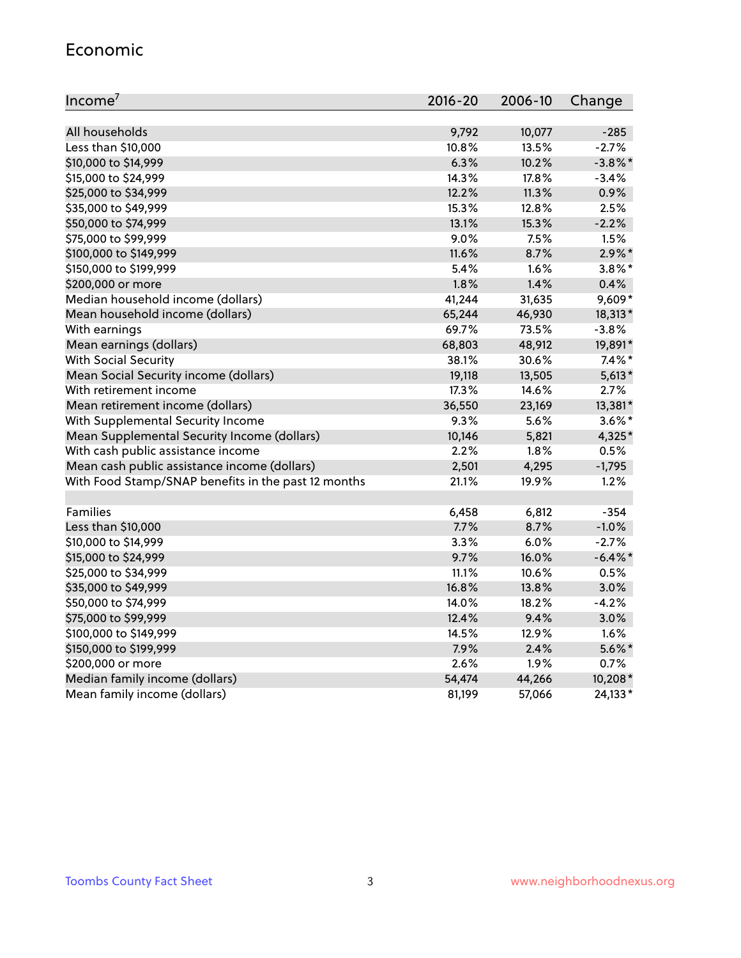#### Economic

| Income <sup>7</sup>                                 | $2016 - 20$ | 2006-10 | Change     |
|-----------------------------------------------------|-------------|---------|------------|
|                                                     |             |         |            |
| All households                                      | 9,792       | 10,077  | $-285$     |
| Less than \$10,000                                  | 10.8%       | 13.5%   | $-2.7%$    |
| \$10,000 to \$14,999                                | 6.3%        | 10.2%   | $-3.8\%$ * |
| \$15,000 to \$24,999                                | 14.3%       | 17.8%   | $-3.4%$    |
| \$25,000 to \$34,999                                | 12.2%       | 11.3%   | 0.9%       |
| \$35,000 to \$49,999                                | 15.3%       | 12.8%   | 2.5%       |
| \$50,000 to \$74,999                                | 13.1%       | 15.3%   | $-2.2%$    |
| \$75,000 to \$99,999                                | 9.0%        | 7.5%    | 1.5%       |
| \$100,000 to \$149,999                              | 11.6%       | 8.7%    | $2.9\%$ *  |
| \$150,000 to \$199,999                              | 5.4%        | 1.6%    | $3.8\%$ *  |
| \$200,000 or more                                   | 1.8%        | 1.4%    | 0.4%       |
| Median household income (dollars)                   | 41,244      | 31,635  | 9,609*     |
| Mean household income (dollars)                     | 65,244      | 46,930  | 18,313*    |
| With earnings                                       | 69.7%       | 73.5%   | $-3.8%$    |
| Mean earnings (dollars)                             | 68,803      | 48,912  | 19,891*    |
| <b>With Social Security</b>                         | 38.1%       | 30.6%   | $7.4\%$ *  |
| Mean Social Security income (dollars)               | 19,118      | 13,505  | $5,613*$   |
| With retirement income                              | 17.3%       | 14.6%   | 2.7%       |
| Mean retirement income (dollars)                    | 36,550      | 23,169  | 13,381*    |
| With Supplemental Security Income                   | $9.3\%$     | 5.6%    | $3.6\%$ *  |
| Mean Supplemental Security Income (dollars)         | 10,146      | 5,821   | 4,325*     |
| With cash public assistance income                  | 2.2%        | 1.8%    | 0.5%       |
| Mean cash public assistance income (dollars)        | 2,501       | 4,295   | $-1,795$   |
| With Food Stamp/SNAP benefits in the past 12 months | 21.1%       | 19.9%   | 1.2%       |
|                                                     |             |         |            |
| Families                                            | 6,458       | 6,812   | $-354$     |
| Less than \$10,000                                  | 7.7%        | 8.7%    | $-1.0%$    |
| \$10,000 to \$14,999                                | 3.3%        | 6.0%    | $-2.7%$    |
| \$15,000 to \$24,999                                | 9.7%        | 16.0%   | $-6.4\%$ * |
| \$25,000 to \$34,999                                | 11.1%       | 10.6%   | 0.5%       |
| \$35,000 to \$49,999                                | 16.8%       | 13.8%   | 3.0%       |
| \$50,000 to \$74,999                                | 14.0%       | 18.2%   | $-4.2%$    |
| \$75,000 to \$99,999                                | 12.4%       | 9.4%    | 3.0%       |
| \$100,000 to \$149,999                              | 14.5%       | 12.9%   | 1.6%       |
| \$150,000 to \$199,999                              | 7.9%        | 2.4%    | $5.6\%$ *  |
| \$200,000 or more                                   | 2.6%        | 1.9%    | 0.7%       |
| Median family income (dollars)                      | 54,474      | 44,266  | 10,208*    |
| Mean family income (dollars)                        | 81,199      | 57,066  | 24,133*    |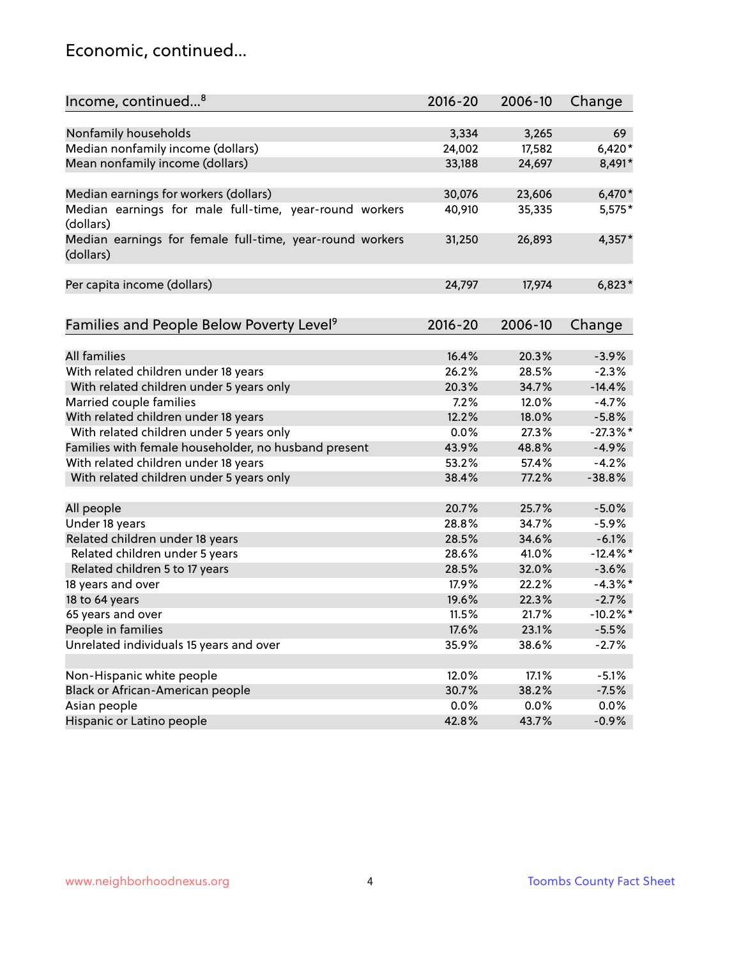### Economic, continued...

| Income, continued <sup>8</sup>                                        | $2016 - 20$ | 2006-10 | Change      |
|-----------------------------------------------------------------------|-------------|---------|-------------|
|                                                                       |             |         |             |
| Nonfamily households                                                  | 3,334       | 3,265   | 69          |
| Median nonfamily income (dollars)                                     | 24,002      | 17,582  | $6,420*$    |
| Mean nonfamily income (dollars)                                       | 33,188      | 24,697  | 8,491*      |
| Median earnings for workers (dollars)                                 | 30,076      | 23,606  | $6,470*$    |
| Median earnings for male full-time, year-round workers                | 40,910      | 35,335  | $5,575*$    |
| (dollars)                                                             |             |         |             |
| Median earnings for female full-time, year-round workers<br>(dollars) | 31,250      | 26,893  | $4,357*$    |
| Per capita income (dollars)                                           | 24,797      | 17,974  | $6,823*$    |
|                                                                       |             |         |             |
| Families and People Below Poverty Level <sup>9</sup>                  | $2016 - 20$ | 2006-10 | Change      |
|                                                                       |             |         |             |
| <b>All families</b>                                                   | 16.4%       | 20.3%   | $-3.9%$     |
| With related children under 18 years                                  | 26.2%       | 28.5%   | $-2.3%$     |
| With related children under 5 years only                              | 20.3%       | 34.7%   | $-14.4%$    |
| Married couple families                                               | 7.2%        | 12.0%   | $-4.7%$     |
| With related children under 18 years                                  | 12.2%       | 18.0%   | $-5.8%$     |
| With related children under 5 years only                              | 0.0%        | 27.3%   | $-27.3%$    |
| Families with female householder, no husband present                  | 43.9%       | 48.8%   | $-4.9%$     |
| With related children under 18 years                                  | 53.2%       | 57.4%   | $-4.2%$     |
| With related children under 5 years only                              | 38.4%       | 77.2%   | $-38.8%$    |
|                                                                       |             |         |             |
| All people                                                            | 20.7%       | 25.7%   | $-5.0%$     |
| Under 18 years                                                        | 28.8%       | 34.7%   | $-5.9%$     |
| Related children under 18 years                                       | 28.5%       | 34.6%   | $-6.1%$     |
| Related children under 5 years                                        | 28.6%       | 41.0%   | $-12.4\%$ * |
| Related children 5 to 17 years                                        | 28.5%       | 32.0%   | $-3.6%$     |
| 18 years and over                                                     | 17.9%       | 22.2%   | $-4.3\%$ *  |
| 18 to 64 years                                                        | 19.6%       | 22.3%   | $-2.7%$     |
| 65 years and over                                                     | 11.5%       | 21.7%   | $-10.2\%$ * |
| People in families                                                    | 17.6%       | 23.1%   | $-5.5%$     |
| Unrelated individuals 15 years and over                               | 35.9%       | 38.6%   | $-2.7%$     |
|                                                                       |             |         |             |
| Non-Hispanic white people                                             | 12.0%       | 17.1%   | $-5.1%$     |
| Black or African-American people                                      | 30.7%       | 38.2%   | $-7.5%$     |
| Asian people                                                          | $0.0\%$     | 0.0%    | 0.0%        |
| Hispanic or Latino people                                             | 42.8%       | 43.7%   | $-0.9%$     |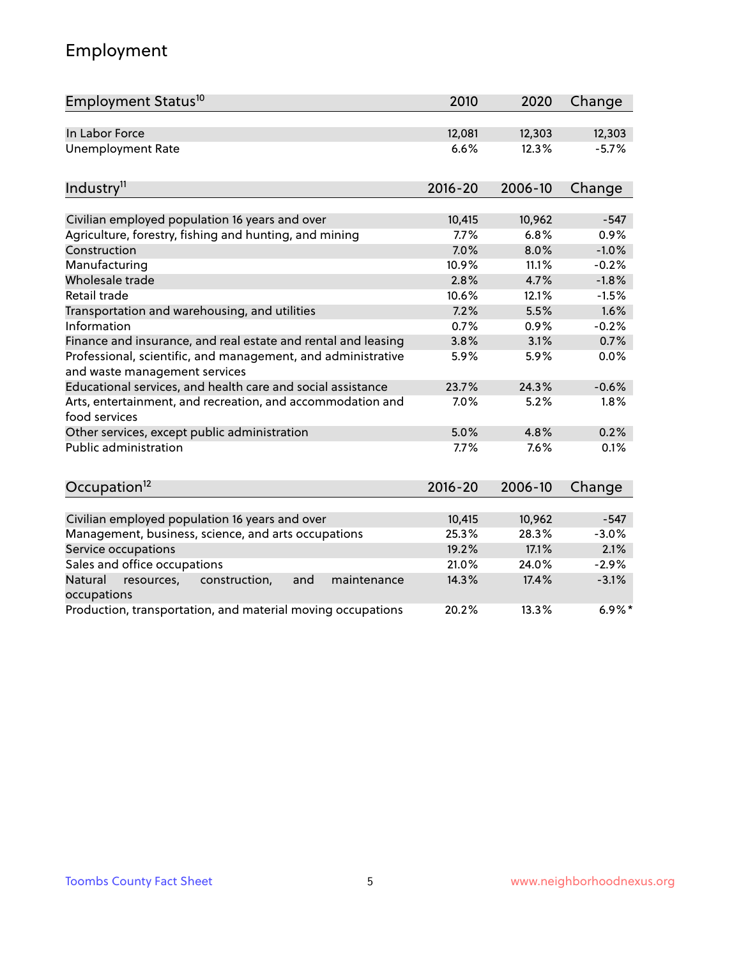# Employment

| Employment Status <sup>10</sup>                                                               | 2010        | 2020    | Change    |
|-----------------------------------------------------------------------------------------------|-------------|---------|-----------|
| In Labor Force                                                                                | 12,081      | 12,303  | 12,303    |
| <b>Unemployment Rate</b>                                                                      | 6.6%        | 12.3%   | $-5.7%$   |
|                                                                                               |             |         |           |
| Industry <sup>11</sup>                                                                        | $2016 - 20$ | 2006-10 | Change    |
| Civilian employed population 16 years and over                                                | 10,415      | 10,962  | $-547$    |
| Agriculture, forestry, fishing and hunting, and mining                                        | 7.7%        | 6.8%    | 0.9%      |
| Construction                                                                                  | 7.0%        | 8.0%    | $-1.0%$   |
| Manufacturing                                                                                 | 10.9%       | 11.1%   | $-0.2%$   |
| Wholesale trade                                                                               | 2.8%        | 4.7%    | $-1.8%$   |
| Retail trade                                                                                  | 10.6%       | 12.1%   | $-1.5%$   |
| Transportation and warehousing, and utilities                                                 | 7.2%        | 5.5%    | 1.6%      |
| Information                                                                                   | 0.7%        | 0.9%    | $-0.2%$   |
| Finance and insurance, and real estate and rental and leasing                                 | 3.8%        | 3.1%    | 0.7%      |
| Professional, scientific, and management, and administrative<br>and waste management services | 5.9%        | 5.9%    | 0.0%      |
| Educational services, and health care and social assistance                                   | 23.7%       | 24.3%   | $-0.6%$   |
| Arts, entertainment, and recreation, and accommodation and<br>food services                   | 7.0%        | 5.2%    | 1.8%      |
| Other services, except public administration                                                  | 5.0%        | 4.8%    | 0.2%      |
| Public administration                                                                         | 7.7%        | 7.6%    | 0.1%      |
| Occupation <sup>12</sup>                                                                      | $2016 - 20$ | 2006-10 | Change    |
|                                                                                               |             |         |           |
| Civilian employed population 16 years and over                                                | 10,415      | 10,962  | $-547$    |
| Management, business, science, and arts occupations                                           | 25.3%       | 28.3%   | $-3.0%$   |
| Service occupations                                                                           | 19.2%       | 17.1%   | 2.1%      |
| Sales and office occupations                                                                  | 21.0%       | 24.0%   | $-2.9%$   |
| Natural<br>construction,<br>and<br>maintenance<br>resources,<br>occupations                   | 14.3%       | 17.4%   | $-3.1%$   |
| Production, transportation, and material moving occupations                                   | 20.2%       | 13.3%   | $6.9\%$ * |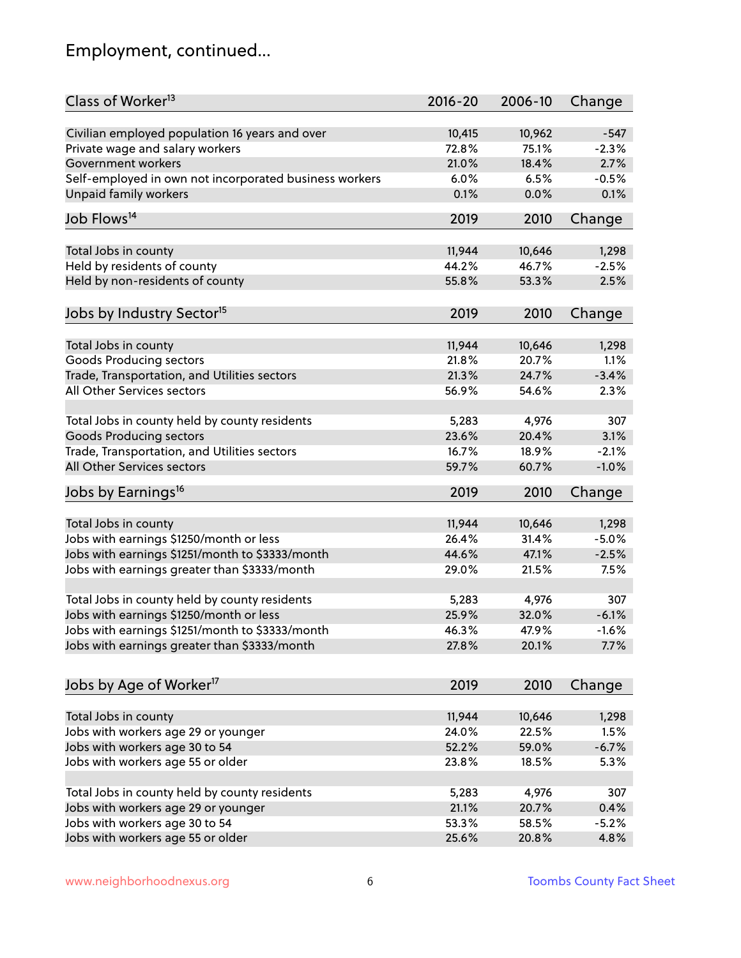# Employment, continued...

| Class of Worker <sup>13</sup>                          | $2016 - 20$ | 2006-10 | Change   |
|--------------------------------------------------------|-------------|---------|----------|
| Civilian employed population 16 years and over         | 10,415      | 10,962  | $-547$   |
| Private wage and salary workers                        | 72.8%       | 75.1%   | $-2.3%$  |
| Government workers                                     | 21.0%       | 18.4%   | 2.7%     |
| Self-employed in own not incorporated business workers | 6.0%        | 6.5%    | $-0.5%$  |
| Unpaid family workers                                  | 0.1%        | 0.0%    | 0.1%     |
|                                                        |             |         |          |
| Job Flows <sup>14</sup>                                | 2019        | 2010    | Change   |
| Total Jobs in county                                   | 11,944      | 10,646  | 1,298    |
| Held by residents of county                            | 44.2%       | 46.7%   | $-2.5%$  |
|                                                        | 55.8%       | 53.3%   | 2.5%     |
| Held by non-residents of county                        |             |         |          |
| Jobs by Industry Sector <sup>15</sup>                  | 2019        | 2010    | Change   |
| Total Jobs in county                                   | 11,944      | 10,646  | 1,298    |
| Goods Producing sectors                                | 21.8%       | 20.7%   | 1.1%     |
| Trade, Transportation, and Utilities sectors           | 21.3%       | 24.7%   | $-3.4%$  |
| All Other Services sectors                             | 56.9%       | 54.6%   | 2.3%     |
|                                                        |             |         |          |
| Total Jobs in county held by county residents          | 5,283       | 4,976   | 307      |
| <b>Goods Producing sectors</b>                         | 23.6%       | 20.4%   | 3.1%     |
| Trade, Transportation, and Utilities sectors           | 16.7%       | 18.9%   | $-2.1%$  |
| All Other Services sectors                             | 59.7%       | 60.7%   | $-1.0%$  |
| Jobs by Earnings <sup>16</sup>                         | 2019        | 2010    | Change   |
|                                                        |             |         |          |
| Total Jobs in county                                   | 11,944      | 10,646  | 1,298    |
| Jobs with earnings \$1250/month or less                | 26.4%       | 31.4%   | $-5.0%$  |
| Jobs with earnings \$1251/month to \$3333/month        | 44.6%       | 47.1%   | $-2.5%$  |
| Jobs with earnings greater than \$3333/month           | 29.0%       | 21.5%   | 7.5%     |
|                                                        |             |         |          |
| Total Jobs in county held by county residents          | 5,283       | 4,976   | 307      |
| Jobs with earnings \$1250/month or less                | 25.9%       | 32.0%   | $-6.1%$  |
| Jobs with earnings \$1251/month to \$3333/month        | 46.3%       | 47.9%   | $-1.6\%$ |
| Jobs with earnings greater than \$3333/month           | 27.8%       | 20.1%   | 7.7%     |
|                                                        |             |         |          |
| Jobs by Age of Worker <sup>17</sup>                    | 2019        | 2010    | Change   |
| Total Jobs in county                                   | 11,944      | 10,646  | 1,298    |
| Jobs with workers age 29 or younger                    | 24.0%       | 22.5%   | 1.5%     |
| Jobs with workers age 30 to 54                         | 52.2%       | 59.0%   | $-6.7%$  |
| Jobs with workers age 55 or older                      |             | 18.5%   |          |
|                                                        | 23.8%       |         | 5.3%     |
| Total Jobs in county held by county residents          | 5,283       | 4,976   | 307      |
| Jobs with workers age 29 or younger                    | 21.1%       | 20.7%   | 0.4%     |
| Jobs with workers age 30 to 54                         | 53.3%       | 58.5%   | $-5.2%$  |
| Jobs with workers age 55 or older                      | 25.6%       | 20.8%   | 4.8%     |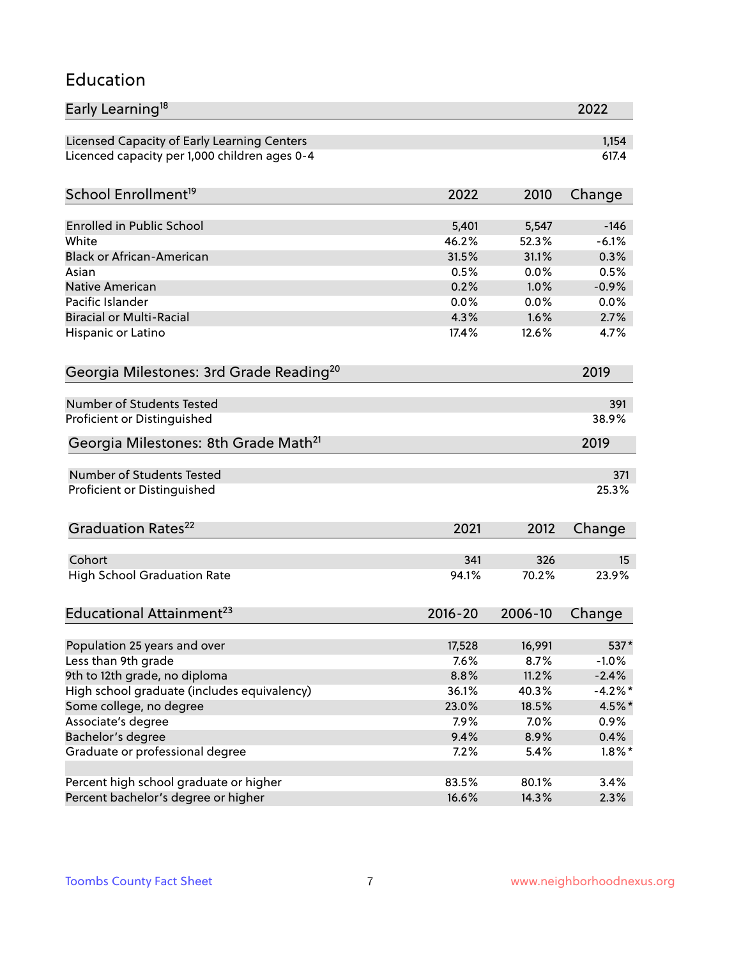#### Education

| Early Learning <sup>18</sup>                        |             |         | 2022      |
|-----------------------------------------------------|-------------|---------|-----------|
| Licensed Capacity of Early Learning Centers         |             |         | 1,154     |
| Licenced capacity per 1,000 children ages 0-4       |             |         | 617.4     |
|                                                     |             |         |           |
| School Enrollment <sup>19</sup>                     | 2022        | 2010    | Change    |
| <b>Enrolled in Public School</b>                    | 5,401       | 5,547   | $-146$    |
| White                                               | 46.2%       | 52.3%   | $-6.1%$   |
| <b>Black or African-American</b>                    | 31.5%       | 31.1%   | 0.3%      |
| Asian                                               | 0.5%        | 0.0%    | 0.5%      |
| Native American                                     | 0.2%        | 1.0%    | $-0.9%$   |
| Pacific Islander                                    | 0.0%        | 0.0%    | 0.0%      |
| <b>Biracial or Multi-Racial</b>                     | 4.3%        | 1.6%    | 2.7%      |
| Hispanic or Latino                                  | 17.4%       | 12.6%   | 4.7%      |
|                                                     |             |         |           |
| Georgia Milestones: 3rd Grade Reading <sup>20</sup> |             |         | 2019      |
| <b>Number of Students Tested</b>                    |             |         | 391       |
| Proficient or Distinguished                         |             |         | 38.9%     |
| Georgia Milestones: 8th Grade Math <sup>21</sup>    |             |         | 2019      |
| Number of Students Tested                           |             |         | 371       |
| Proficient or Distinguished                         |             |         | 25.3%     |
|                                                     |             |         |           |
| Graduation Rates <sup>22</sup>                      | 2021        | 2012    | Change    |
| Cohort                                              | 341         | 326     | 15        |
| <b>High School Graduation Rate</b>                  | 94.1%       | 70.2%   | 23.9%     |
|                                                     |             |         |           |
| Educational Attainment <sup>23</sup>                | $2016 - 20$ | 2006-10 | Change    |
|                                                     | 17,528      | 16,991  | 537*      |
| Population 25 years and over<br>Less than 9th grade | 7.6%        | 8.7%    | $-1.0%$   |
| 9th to 12th grade, no diploma                       | 8.8%        | 11.2%   | $-2.4%$   |
| High school graduate (includes equivalency)         | 36.1%       | 40.3%   | $-4.2%$ * |
| Some college, no degree                             | 23.0%       | 18.5%   | 4.5%*     |
| Associate's degree                                  | 7.9%        | 7.0%    | $0.9\%$   |
| Bachelor's degree                                   | 9.4%        | 8.9%    | 0.4%      |
| Graduate or professional degree                     | 7.2%        | 5.4%    | $1.8\%$ * |
|                                                     |             |         |           |
| Percent high school graduate or higher              | 83.5%       | 80.1%   | 3.4%      |
| Percent bachelor's degree or higher                 | 16.6%       | 14.3%   | 2.3%      |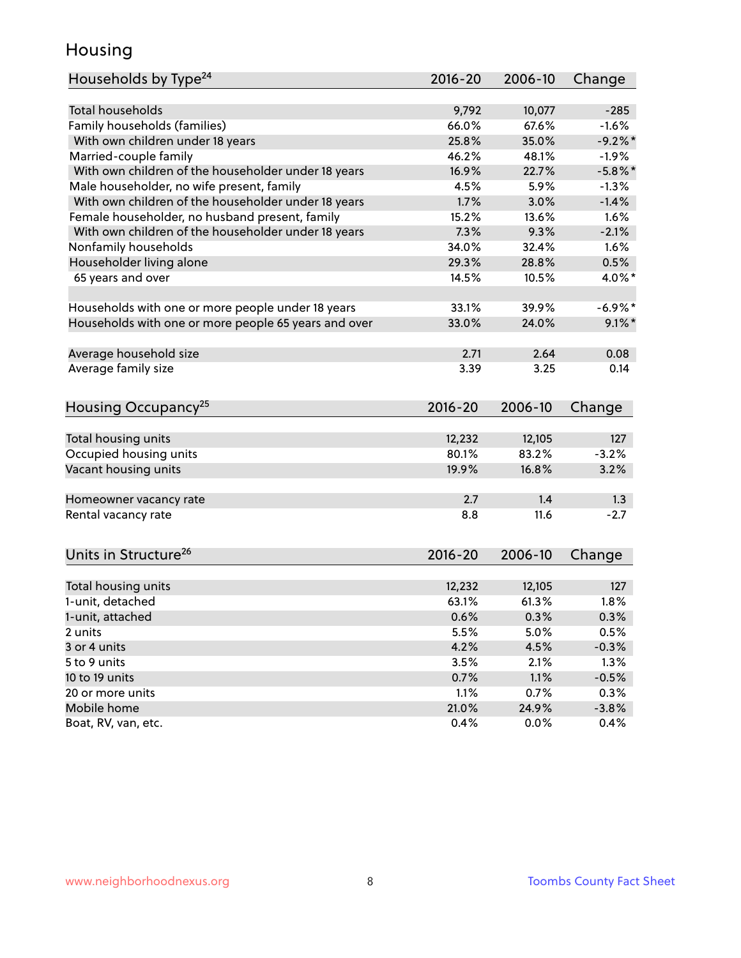### Housing

| Households by Type <sup>24</sup><br>2016-20<br>2006-10<br>Change       |                 |
|------------------------------------------------------------------------|-----------------|
|                                                                        |                 |
| <b>Total households</b><br>9,792<br>10,077                             | $-285$          |
| Family households (families)<br>66.0%<br>67.6%                         | $-1.6%$         |
| With own children under 18 years<br>25.8%<br>35.0%                     | $-9.2%$         |
| Married-couple family<br>46.2%<br>48.1%                                | $-1.9%$         |
| With own children of the householder under 18 years<br>16.9%<br>22.7%  | $-5.8\%$ *      |
| Male householder, no wife present, family<br>5.9%<br>4.5%              | $-1.3%$         |
| With own children of the householder under 18 years<br>1.7%<br>3.0%    | $-1.4%$         |
| Female householder, no husband present, family<br>15.2%<br>13.6%       | 1.6%            |
| With own children of the householder under 18 years<br>7.3%<br>9.3%    | $-2.1%$         |
| Nonfamily households<br>34.0%<br>32.4%                                 | 1.6%            |
| Householder living alone<br>29.3%<br>28.8%                             | 0.5%            |
| 65 years and over<br>14.5%<br>10.5%                                    | 4.0%*           |
| 33.1%<br>39.9%<br>Households with one or more people under 18 years    | $-6.9%$ *       |
| Households with one or more people 65 years and over<br>33.0%<br>24.0% | $9.1\%$ *       |
|                                                                        |                 |
| Average household size<br>2.71<br>2.64                                 | 0.08            |
| Average family size<br>3.39<br>3.25                                    | 0.14            |
| Housing Occupancy <sup>25</sup><br>2016-20<br>Change<br>2006-10        |                 |
|                                                                        |                 |
| Total housing units<br>12,232<br>12,105<br>80.1%<br>83.2%              | 127<br>$-3.2%$  |
| Occupied housing units                                                 |                 |
| Vacant housing units<br>16.8%<br>19.9%                                 | 3.2%            |
| 2.7<br>1.4<br>Homeowner vacancy rate                                   | 1.3             |
| 11.6<br>Rental vacancy rate<br>8.8                                     | $-2.7$          |
| Units in Structure <sup>26</sup><br>2016-20<br>2006-10<br>Change       |                 |
| 12,105<br>Total housing units<br>12,232                                | 127             |
| 1-unit, detached<br>63.1%<br>61.3%                                     | 1.8%            |
| 1-unit, attached<br>0.6%<br>0.3%                                       | 0.3%            |
| 5.5%<br>5.0%<br>2 units                                                | 0.5%            |
| 3 or 4 units<br>4.2%<br>4.5%                                           | $-0.3%$         |
| 5 to 9 units<br>3.5%<br>2.1%                                           | 1.3%            |
| 10 to 19 units<br>0.7%<br>1.1%<br>$-0.5%$                              |                 |
| 1.1%<br>20 or more units<br>0.7%                                       |                 |
|                                                                        |                 |
| Mobile home<br>21.0%<br>24.9%                                          | 0.3%<br>$-3.8%$ |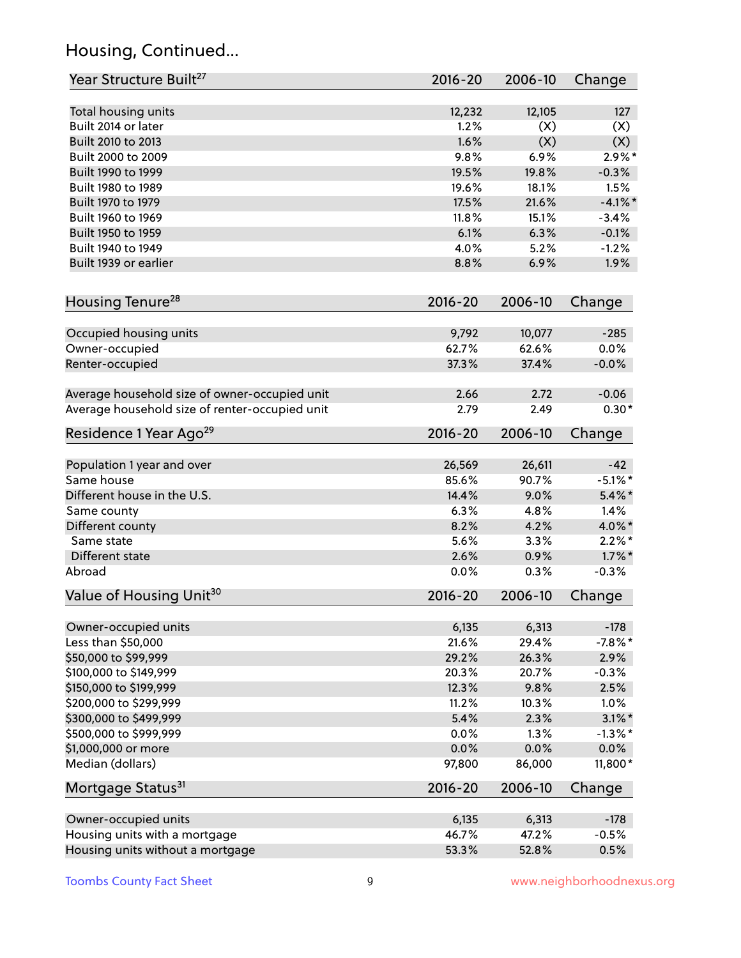# Housing, Continued...

| Year Structure Built <sup>27</sup>             | 2016-20     | 2006-10 | Change     |
|------------------------------------------------|-------------|---------|------------|
| Total housing units                            | 12,232      | 12,105  | 127        |
| Built 2014 or later                            | 1.2%        | (X)     | (X)        |
| Built 2010 to 2013                             | 1.6%        | (X)     | (X)        |
| Built 2000 to 2009                             | 9.8%        | 6.9%    | $2.9\%$ *  |
| Built 1990 to 1999                             | 19.5%       | 19.8%   | $-0.3%$    |
| Built 1980 to 1989                             | 19.6%       | 18.1%   | 1.5%       |
| Built 1970 to 1979                             | 17.5%       | 21.6%   | $-4.1\%$ * |
| Built 1960 to 1969                             | 11.8%       | 15.1%   | $-3.4%$    |
| Built 1950 to 1959                             | 6.1%        | 6.3%    | $-0.1%$    |
| Built 1940 to 1949                             | 4.0%        | 5.2%    | $-1.2%$    |
| Built 1939 or earlier                          | 8.8%        | 6.9%    | 1.9%       |
|                                                |             |         |            |
| Housing Tenure <sup>28</sup>                   | $2016 - 20$ | 2006-10 | Change     |
|                                                |             |         |            |
| Occupied housing units                         | 9,792       | 10,077  | $-285$     |
| Owner-occupied                                 | 62.7%       | 62.6%   | 0.0%       |
| Renter-occupied                                | 37.3%       | 37.4%   | $-0.0%$    |
| Average household size of owner-occupied unit  | 2.66        | 2.72    | $-0.06$    |
| Average household size of renter-occupied unit | 2.79        | 2.49    | $0.30*$    |
| Residence 1 Year Ago <sup>29</sup>             | 2016-20     | 2006-10 | Change     |
|                                                |             |         |            |
| Population 1 year and over                     | 26,569      | 26,611  | $-42$      |
| Same house                                     | 85.6%       | 90.7%   | $-5.1\%$ * |
| Different house in the U.S.                    | 14.4%       | 9.0%    | $5.4\%$ *  |
| Same county                                    | 6.3%        | 4.8%    | 1.4%       |
| Different county                               | 8.2%        | 4.2%    | 4.0%*      |
| Same state                                     | 5.6%        | 3.3%    | $2.2\%$ *  |
| Different state                                | 2.6%        | 0.9%    | $1.7\%$ *  |
| Abroad                                         | 0.0%        | 0.3%    | $-0.3%$    |
| Value of Housing Unit <sup>30</sup>            | $2016 - 20$ | 2006-10 | Change     |
|                                                |             |         |            |
| Owner-occupied units                           | 6,135       | 6,313   | $-178$     |
| Less than \$50,000                             | 21.6%       | 29.4%   | $-7.8\%$ * |
| \$50,000 to \$99,999                           | 29.2%       | 26.3%   | 2.9%       |
| \$100,000 to \$149,999                         | 20.3%       | 20.7%   | $-0.3%$    |
| \$150,000 to \$199,999                         | 12.3%       | 9.8%    | 2.5%       |
| \$200,000 to \$299,999                         | 11.2%       | 10.3%   | 1.0%       |
| \$300,000 to \$499,999                         | 5.4%        | 2.3%    | $3.1\%$ *  |
| \$500,000 to \$999,999                         | 0.0%        | 1.3%    | $-1.3%$ *  |
| \$1,000,000 or more                            | 0.0%        | 0.0%    | $0.0\%$    |
| Median (dollars)                               | 97,800      | 86,000  | 11,800*    |
| Mortgage Status <sup>31</sup>                  | $2016 - 20$ | 2006-10 | Change     |
| Owner-occupied units                           | 6,135       | 6,313   | $-178$     |
| Housing units with a mortgage                  | 46.7%       | 47.2%   | $-0.5%$    |
| Housing units without a mortgage               | 53.3%       | 52.8%   | 0.5%       |
|                                                |             |         |            |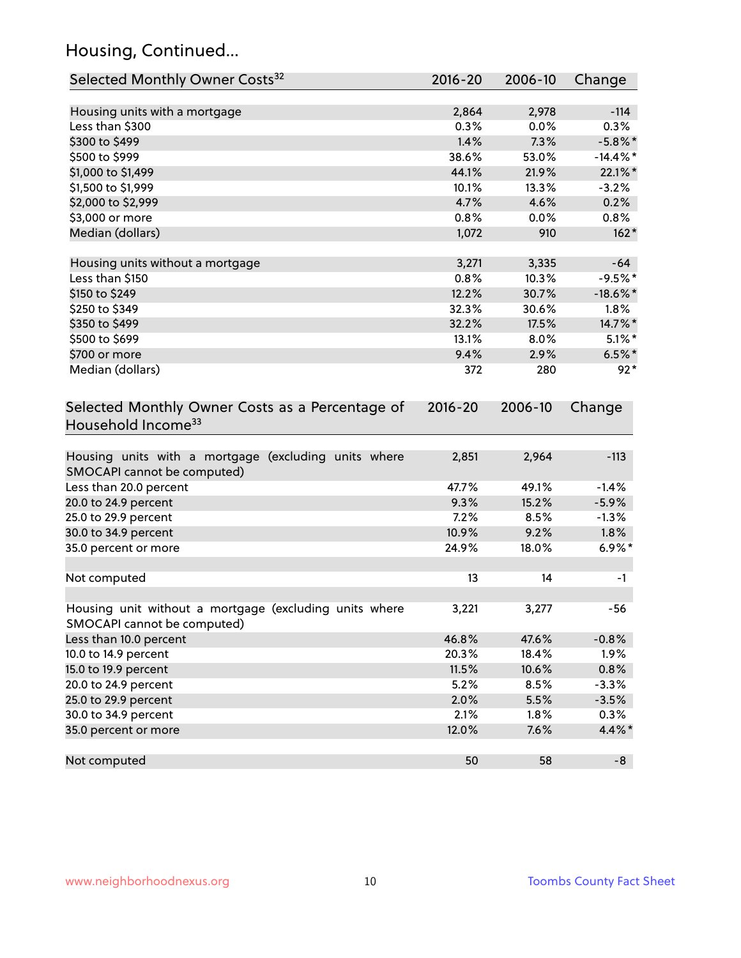# Housing, Continued...

| Selected Monthly Owner Costs <sup>32</sup>                                            | 2016-20     | 2006-10 | Change      |
|---------------------------------------------------------------------------------------|-------------|---------|-------------|
| Housing units with a mortgage                                                         | 2,864       | 2,978   | $-114$      |
| Less than \$300                                                                       | 0.3%        | 0.0%    | 0.3%        |
| \$300 to \$499                                                                        | 1.4%        | 7.3%    | $-5.8\%$ *  |
| \$500 to \$999                                                                        | 38.6%       | 53.0%   | $-14.4\%$ * |
| \$1,000 to \$1,499                                                                    | 44.1%       | 21.9%   | 22.1%*      |
| \$1,500 to \$1,999                                                                    | 10.1%       | 13.3%   | $-3.2%$     |
| \$2,000 to \$2,999                                                                    | 4.7%        | 4.6%    | 0.2%        |
| \$3,000 or more                                                                       | 0.8%        | 0.0%    | 0.8%        |
| Median (dollars)                                                                      | 1,072       | 910     | $162*$      |
|                                                                                       |             |         |             |
| Housing units without a mortgage                                                      | 3,271       | 3,335   | $-64$       |
| Less than \$150                                                                       | 0.8%        | 10.3%   | $-9.5%$ *   |
| \$150 to \$249                                                                        | 12.2%       | 30.7%   | $-18.6\%$ * |
| \$250 to \$349                                                                        | 32.3%       | 30.6%   | $1.8\%$     |
| \$350 to \$499                                                                        | 32.2%       | 17.5%   | 14.7%*      |
| \$500 to \$699                                                                        | 13.1%       | 8.0%    | $5.1\%$ *   |
| \$700 or more                                                                         | 9.4%        | 2.9%    | $6.5%$ *    |
| Median (dollars)                                                                      | 372         | 280     | $92*$       |
| Selected Monthly Owner Costs as a Percentage of<br>Household Income <sup>33</sup>     | $2016 - 20$ | 2006-10 | Change      |
| Housing units with a mortgage (excluding units where<br>SMOCAPI cannot be computed)   | 2,851       | 2,964   | $-113$      |
| Less than 20.0 percent                                                                | 47.7%       | 49.1%   | $-1.4%$     |
| 20.0 to 24.9 percent                                                                  | 9.3%        | 15.2%   | $-5.9%$     |
| 25.0 to 29.9 percent                                                                  | 7.2%        | 8.5%    | $-1.3%$     |
| 30.0 to 34.9 percent                                                                  | 10.9%       | 9.2%    | 1.8%        |
| 35.0 percent or more                                                                  | 24.9%       | 18.0%   | $6.9\%*$    |
| Not computed                                                                          | 13          | 14      | $-1$        |
| Housing unit without a mortgage (excluding units where<br>SMOCAPI cannot be computed) | 3,221       | 3,277   | $-56$       |
| Less than 10.0 percent                                                                | 46.8%       | 47.6%   | $-0.8%$     |
| 10.0 to 14.9 percent                                                                  | 20.3%       | 18.4%   | 1.9%        |
| 15.0 to 19.9 percent                                                                  | 11.5%       | 10.6%   | 0.8%        |
| 20.0 to 24.9 percent                                                                  | 5.2%        | 8.5%    | $-3.3%$     |
| 25.0 to 29.9 percent                                                                  | 2.0%        | 5.5%    | $-3.5%$     |
| 30.0 to 34.9 percent                                                                  | 2.1%        | $1.8\%$ | 0.3%        |
| 35.0 percent or more                                                                  | 12.0%       | 7.6%    | 4.4%*       |
| Not computed                                                                          | 50          | 58      | -8          |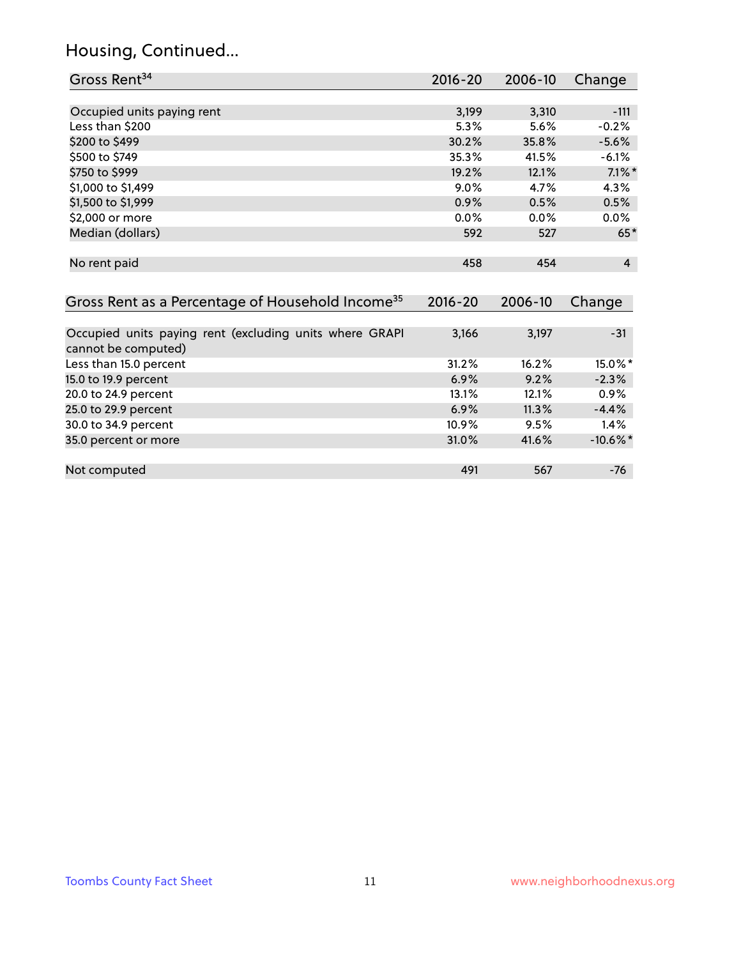#### Housing, Continued...

20.0 to 24.9 percent

35.0 percent or more

| Gross Rent <sup>34</sup>                                     | 2016-20     | 2006-10 | Change         |
|--------------------------------------------------------------|-------------|---------|----------------|
|                                                              |             |         |                |
| Occupied units paying rent                                   | 3,199       | 3,310   | $-111$         |
| Less than \$200                                              | 5.3%        | 5.6%    | $-0.2%$        |
| \$200 to \$499                                               | 30.2%       | 35.8%   | $-5.6%$        |
| \$500 to \$749                                               | 35.3%       | 41.5%   | $-6.1%$        |
| \$750 to \$999                                               | 19.2%       | 12.1%   | $7.1\%$ *      |
| \$1,000 to \$1,499                                           | $9.0\%$     | 4.7%    | 4.3%           |
| \$1,500 to \$1,999                                           | 0.9%        | 0.5%    | 0.5%           |
| \$2,000 or more                                              | 0.0%        | $0.0\%$ | $0.0\%$        |
| Median (dollars)                                             | 592         | 527     | $65*$          |
| No rent paid                                                 | 458         | 454     | $\overline{4}$ |
| Gross Rent as a Percentage of Household Income <sup>35</sup> | $2016 - 20$ | 2006-10 | Change         |
| Occupied units paying rent (excluding units where GRAPI      | 3,166       | 3,197   | $-31$          |
| cannot be computed)                                          |             |         |                |
| Less than 15.0 percent                                       | 31.2%       | 16.2%   | 15.0%*         |
| 15.0 to 19.9 percent                                         | 6.9%        | 9.2%    | $-2.3%$        |
| 20.0 to 24.9 percent                                         | 13.1%       | 12.1%   | $0.9\%$        |

25.0 to 29.9 percent 200 and 200 and 200 and 200 and 200 and 200 and 200 and 200 and 200 and 200 and 200 and 20 30.0 to 34.9 percent 10.9% 9.5% 1.4%

Not computed and the computed the computed computed and the computed computed computed and the computed computed  $491$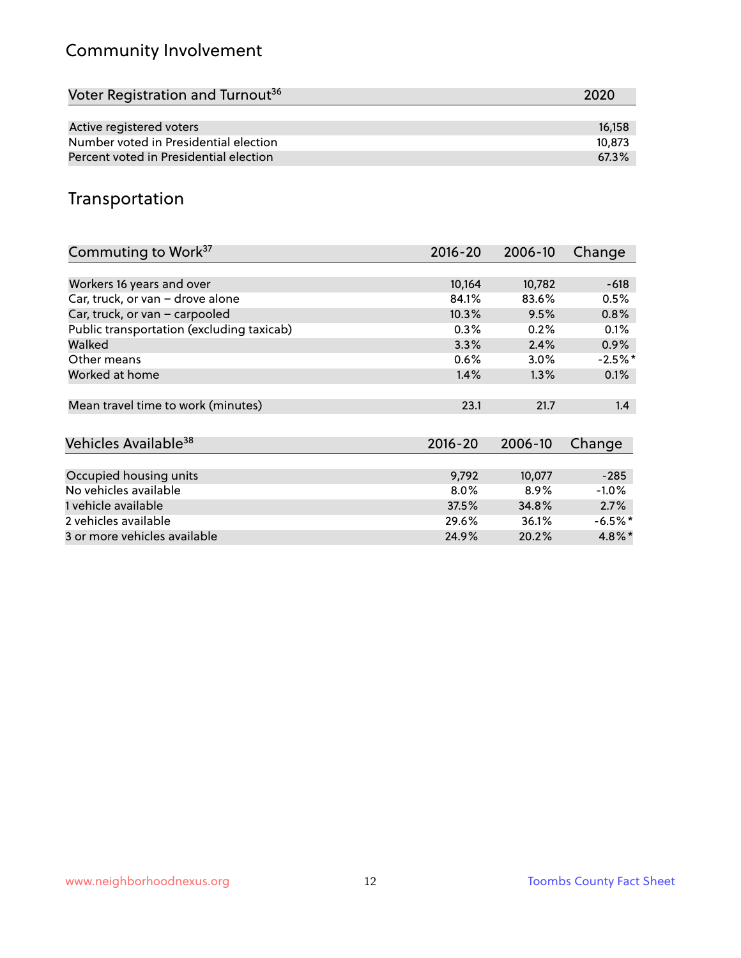# Community Involvement

| Voter Registration and Turnout <sup>36</sup> | 2020   |
|----------------------------------------------|--------|
|                                              |        |
| Active registered voters                     | 16.158 |
| Number voted in Presidential election        | 10,873 |
| Percent voted in Presidential election       | 67.3%  |

## Transportation

| Commuting to Work <sup>37</sup>           | 2016-20     | 2006-10 | Change               |
|-------------------------------------------|-------------|---------|----------------------|
|                                           |             |         |                      |
| Workers 16 years and over                 | 10,164      | 10,782  | $-618$               |
| Car, truck, or van - drove alone          | 84.1%       | 83.6%   | 0.5%                 |
| Car, truck, or van - carpooled            | 10.3%       | 9.5%    | 0.8%                 |
| Public transportation (excluding taxicab) | 0.3%        | 0.2%    | 0.1%                 |
| Walked                                    | 3.3%        | 2.4%    | 0.9%                 |
| Other means                               | $0.6\%$     | $3.0\%$ | $-2.5\%$ *           |
| Worked at home                            | 1.4%        | $1.3\%$ | 0.1%                 |
|                                           |             |         |                      |
| Mean travel time to work (minutes)        | 23.1        | 21.7    | 1.4                  |
|                                           |             |         |                      |
| Vehicles Available <sup>38</sup>          | $2016 - 20$ | 2006-10 | Change               |
|                                           |             |         |                      |
| Occupied housing units                    | 9,792       | 10,077  | $-285$               |
| No vehicles available                     | $8.0\%$     | 8.9%    | $-1.0%$              |
| 1 vehicle available                       | 37.5%       | 34.8%   | 2.7%                 |
| 2 vehicles available                      | 29.6%       | 36.1%   | $-6.5\%$ *           |
| 3 or more vehicles available              | 24.9%       | 20.2%   | $4.8\%$ <sup>*</sup> |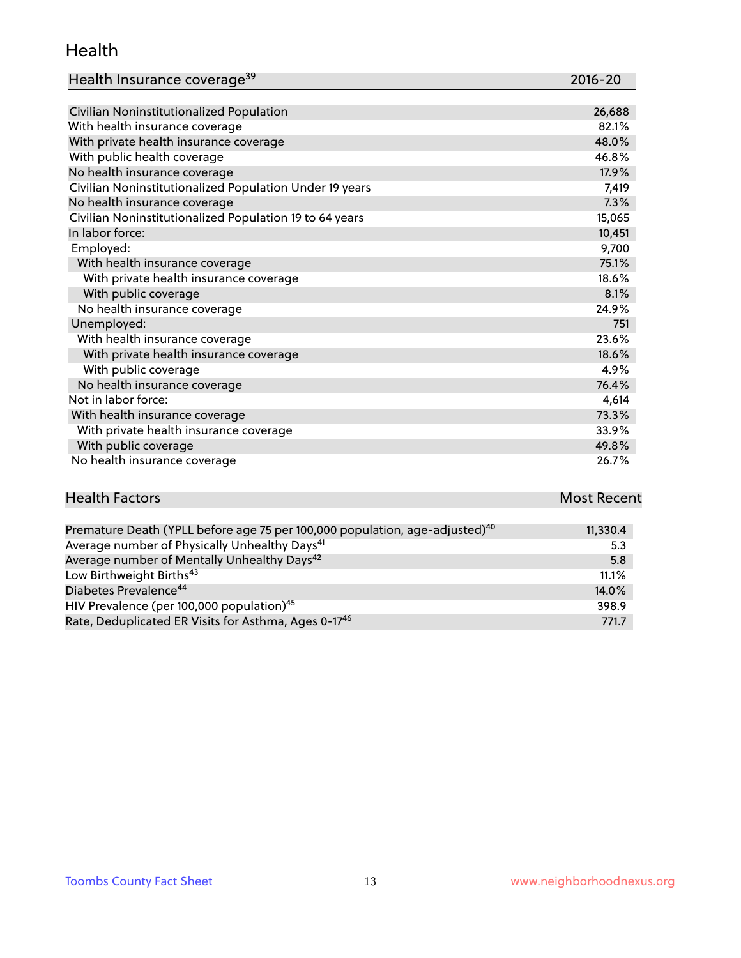#### Health

| Health Insurance coverage <sup>39</sup> | 2016-20 |
|-----------------------------------------|---------|
|-----------------------------------------|---------|

| Civilian Noninstitutionalized Population                | 26,688 |
|---------------------------------------------------------|--------|
| With health insurance coverage                          | 82.1%  |
| With private health insurance coverage                  | 48.0%  |
| With public health coverage                             | 46.8%  |
| No health insurance coverage                            | 17.9%  |
| Civilian Noninstitutionalized Population Under 19 years | 7,419  |
| No health insurance coverage                            | 7.3%   |
| Civilian Noninstitutionalized Population 19 to 64 years | 15,065 |
| In labor force:                                         | 10,451 |
| Employed:                                               | 9,700  |
| With health insurance coverage                          | 75.1%  |
| With private health insurance coverage                  | 18.6%  |
| With public coverage                                    | 8.1%   |
| No health insurance coverage                            | 24.9%  |
| Unemployed:                                             | 751    |
| With health insurance coverage                          | 23.6%  |
| With private health insurance coverage                  | 18.6%  |
| With public coverage                                    | 4.9%   |
| No health insurance coverage                            | 76.4%  |
| Not in labor force:                                     | 4,614  |
| With health insurance coverage                          | 73.3%  |
| With private health insurance coverage                  | 33.9%  |
| With public coverage                                    | 49.8%  |
| No health insurance coverage                            | 26.7%  |

| <b>Health Factors</b> | <b>Most Recent</b> |
|-----------------------|--------------------|
|                       |                    |

| Premature Death (YPLL before age 75 per 100,000 population, age-adjusted) <sup>40</sup> | 11,330.4 |
|-----------------------------------------------------------------------------------------|----------|
| Average number of Physically Unhealthy Days <sup>41</sup>                               | 5.3      |
| Average number of Mentally Unhealthy Days <sup>42</sup>                                 | 5.8      |
| Low Birthweight Births <sup>43</sup>                                                    | 11.1%    |
| Diabetes Prevalence <sup>44</sup>                                                       | 14.0%    |
| HIV Prevalence (per 100,000 population) <sup>45</sup>                                   | 398.9    |
| Rate, Deduplicated ER Visits for Asthma, Ages 0-17 <sup>46</sup>                        | 771.7    |